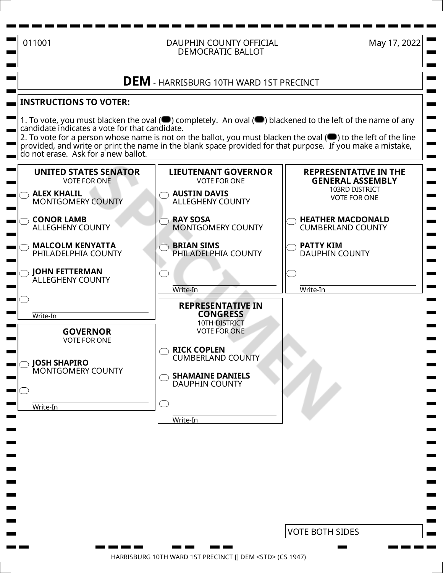## 011001 DAUPHIN COUNTY OFFICIAL DEMOCRATIC BALLOT

May 17, 2022

## **DEM** - HARRISBURG 10TH WARD 1ST PRECINCT

## **INSTRUCTIONS TO VOTER:**

1. To vote, you must blacken the oval ( $\blacksquare$ ) completely. An oval ( $\blacksquare$ ) blackened to the left of the name of any candidate indicates a vote for that candidate.

2. To vote for a person whose name is not on the ballot, you must blacken the oval  $(\bullet)$  to the left of the line provided, and write or print the name in the blank space provided for that purpose. If you make a mistake, do not erase. Ask for a new ballot.



VOTE BOTH SIDES